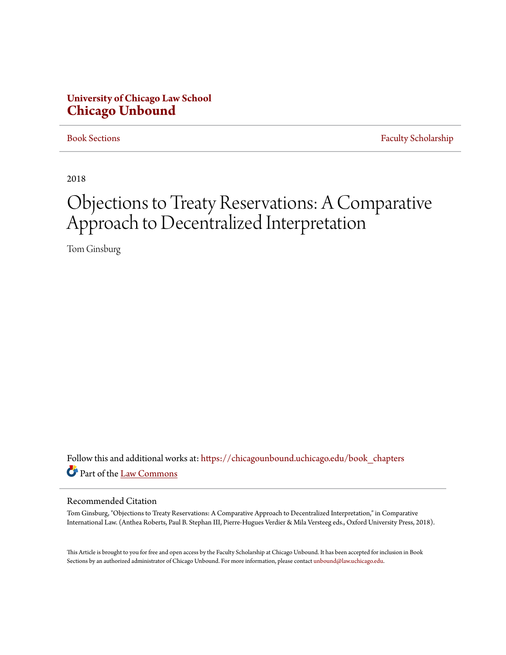## **University of Chicago Law School [Chicago Unbound](https://chicagounbound.uchicago.edu?utm_source=chicagounbound.uchicago.edu%2Fbook_chapters%2F1458&utm_medium=PDF&utm_campaign=PDFCoverPages)**

[Book Sections](https://chicagounbound.uchicago.edu/book_chapters?utm_source=chicagounbound.uchicago.edu%2Fbook_chapters%2F1458&utm_medium=PDF&utm_campaign=PDFCoverPages) [Faculty Scholarship](https://chicagounbound.uchicago.edu/faculty_scholarship?utm_source=chicagounbound.uchicago.edu%2Fbook_chapters%2F1458&utm_medium=PDF&utm_campaign=PDFCoverPages)

2018

# Objections to Treaty Reservations: A Comparative Approach to Decentralized Interpretation

Tom Ginsburg

Follow this and additional works at: [https://chicagounbound.uchicago.edu/book\\_chapters](https://chicagounbound.uchicago.edu/book_chapters?utm_source=chicagounbound.uchicago.edu%2Fbook_chapters%2F1458&utm_medium=PDF&utm_campaign=PDFCoverPages) Part of the [Law Commons](http://network.bepress.com/hgg/discipline/578?utm_source=chicagounbound.uchicago.edu%2Fbook_chapters%2F1458&utm_medium=PDF&utm_campaign=PDFCoverPages)

## Recommended Citation

Tom Ginsburg, "Objections to Treaty Reservations: A Comparative Approach to Decentralized Interpretation," in Comparative International Law. (Anthea Roberts, Paul B. Stephan III, Pierre-Hugues Verdier & Mila Versteeg eds., Oxford University Press, 2018).

This Article is brought to you for free and open access by the Faculty Scholarship at Chicago Unbound. It has been accepted for inclusion in Book Sections by an authorized administrator of Chicago Unbound. For more information, please contact [unbound@law.uchicago.edu.](mailto:unbound@law.uchicago.edu)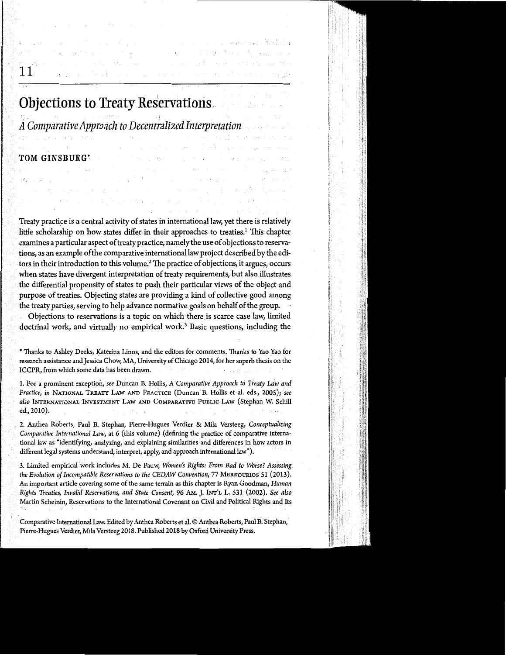## **Objections to Treaty Reservations.**

*A Comparative Approach to Decentralized Interpretation* 

**TOM** GINSBURG~

**11** 

Treaty practice is a central activity of states in international law, yet there is relatively little scholarship on how states differ in their approaches to treaties.<sup>1</sup> This chapter examines a particular aspect of treaty practice, namely the use of objections to reservations, as an example of the comparative intemationallawproject described by the editors in their introduction to this volume.<sup>2</sup> The practice of objections, it argues, occurs when states have divergent interpretation of treaty requirements, but also illustrates the differential propensity of states to push their particular views of the object and purpose of treaties. Objecting states are providing a kind of collective good among the treaty parties, serving to help advance normative goals on behalf of the group.

Objections to reservations is a topic on which there is scarce case law, limited doctrinal work, and virtually no empirical work.3 Basic questions, including the

\* Thanks to Ashley Deeks, Katerina Linos, and the editors for comments. Thanks to Yao Yao for research assistance and Jessica Chow, MA, University of Chicago 2014, for her superb thesis on the ICCPR, from which some data has been drawn.

1. For a prominent exception, *see* Duncan B. Hollis, *A Comparative Approach to Treaty Law and Practice, in* NATIONAL TREATY LAW AND PRACTICE (Duncan B. Hollis et al. eds., 2005); *see also* INTERNATIONAL 'INVESTMENT LAW AND COMPARATIVE PUBLIC LAW (Stephan w. Schill ed.,2010).

2. Anthea Roberts, Paul B. Stephan, Pierre-Hugues Verdier & Mila Versteeg, *Conceptualizing Comparative International Law,* at 6 (this volume) (defining the practice of comparative international law as "identifying, analyzing, and explaining similarities and differences in how actors in different legal systems understand, interpret, apply, and approach international law").

3. Limited empirical work includes M. De Pauw, *Womens Rights: From Bad to Worse? Assessing the Evolution of Incompatible Reservations to the CEDAW Convention,* 77 MERKOURIOS 51 (2013). An important article covering some of the same terrain as this chapter is Ryan Goodman, *Human Rights Treaties, Invalid Reservations, and State Consent,* 96 *AM.].* INT'L L. 531 (2002). *See also*  Martin Scheinin, Reservations to the International Covenant on Civil and Political Rights and Its

Comparative International Law. Edited by Anthea Roberts et al. ©Anthea Roberts, Paul B: Stephan, Pierre-Hugues Verdier, Mila Versteeg 2018. Published 2018 by Oxford University Press.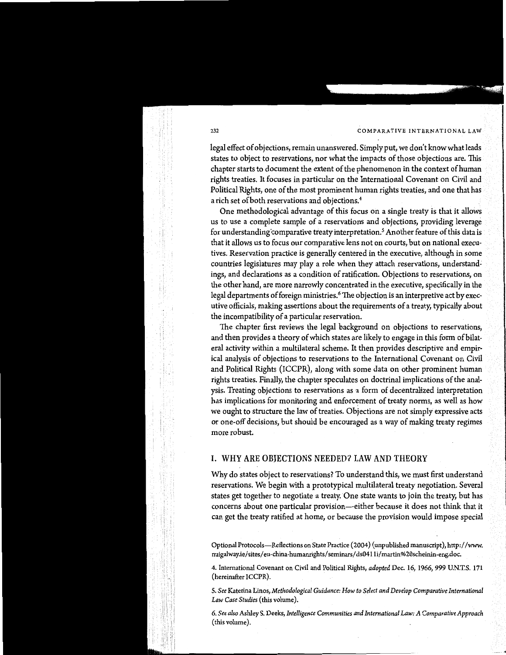### 232 COMPARATIVE INTERNATIONAL LAW

legal effect of objections, remain unanswered. Simply put, we don't know what leads states to object to reservations, nor what the impacts of those objections are. This chapter starts to document the extent of the phenomenon in the context of human rights treaties. It focuses in particular on the International Covenant on Civil and Political Rights, one of the most prominent human rights treaties, and one that has a rich set of both reservations and objections.<sup>4</sup>

One methodological advantage of this focus on a single treaty is that it allows us to use a complete sample of a reservations and objections, providing leverage for understanding comparative treaty interpretation.<sup>5</sup> Another feature of this data is that it allows us to focus our comparative lens not on courts, but on national executives. Reservation practice is generally centered in the executive, although in some countries legislatures may play a role when they attach reservations, understandings, and declarations as a condition of ratification. Objections to reservations, on the other hand, are more narrowly concentrated in the executive, specifically in the legal departments of foreign ministries.<sup>6</sup> The objection is an interpretive act by executive officials, making assertions about the requirements of a treaty, typically about the incompatibility of a particular reservation.

The chapter first reviews the legal background on objections to reservations, and then provides a theory of which states are likely to engage in this form of bilateral activity within a multilateral scheme. It then provides descriptive and empirical analysis of objections to reservations to the International Covenant on Civil and Political Rights (ICCPR), along with some data on other prominent human rights treaties. Finally, the chapter speculates on doctrinal implications of the analysis. Treating objections to reservations as a form of decentralized interpretation has implications for monitoring and enforcement of treaty norms, as well as how we ought to structure the law of treaties. Objections are not simply expressive acts or one-off decisions, but should be encouraged as a way of making treaty regimes more robust.

## I. WHY ARE OBJECTIONS NEEDED? LAW AND THEORY

Why do states object to reservations? To understand this, we must first understand reservations. We begin with a prototypical multilateral treaty negotiation. Several states get together to negotiate a treaty. One state wants to join the treaty, but has concerns about one particular provision-either because it does not think that it can get the treaty ratified at home, or because the provision would impose special

Optional Protocols-Reflections on State Practice (2004) (unpublished manuscript), http:/ /www. nuigalway.ie/ sites/ eu-china-humanrights/ seminars/ ds041 li/ martin%20scheinin-eng.doc.

4. International Covenant on Civil and Political Rights, *adopted* Dec. 16, 1966, 999 U.N.T.S. 171 (hereinafter ICCPR).

*5. See* Katerina Linos, *Methodological Guidance: How to Select and Develop Comparative International Law Case Studies* (this volume).

6. *See also* Ashley S. Deeks, *Intelligence Communities and International Law: A Comparative Approach*  (this volume).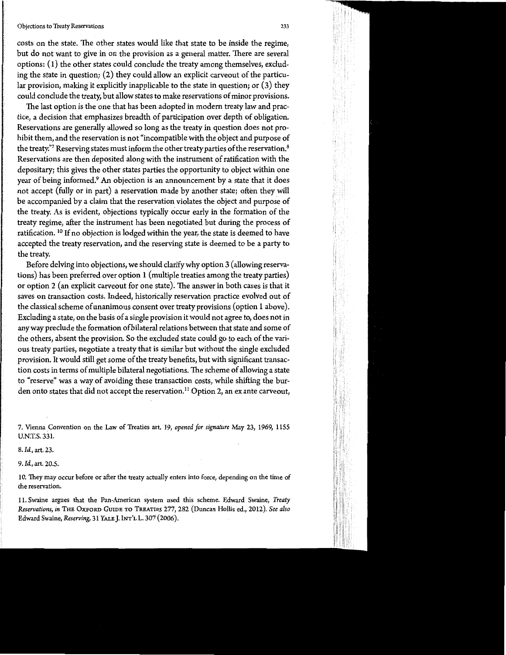#### Objections to Treaty Reservations 233

costs on the state. The other states would like that state to be inside the regime, but do not want to give in on the provision as a general matter. There are several options: ( 1) the other states could conclude the treaty among themselves, excluding the state in question; (2) they could allow an explicit carveout of the particular provision, making it explicitly inapplicable to the state in question; or  $(3)$  they could conclude the treaty, but allow states to make reservations of minor provisions.

The last option is the one that has been adopted in modern treaty law and practice, a decision that emphasizes breadth of participation over depth of obligation. Reservations are generally allowed so long as the treaty in question does not prohibit them, and the reservation is not "incompatible with the object and purpose of the treaty."7 Reserving states must inform the other treaty parties of the reservation.<sup>8</sup> Reservations are then deposited along with the instrument of ratification with the depositary; this gives the other states parties the opportunity to object within one year of being informed.<sup>9</sup> An objection is an announcement by a state that it does not accept (fully or in part) a reservation made by another state; often they will be accompanied by a claim that the reservation violates the object and purpose of the treaty. As is evident, objections typically occur early in the formation of the treaty regime, after the instrument has been negotiated but during the process of ratification. 10 If no objection is lodged within the year, the state is deemed to have accepted the treaty reservation, and the reserving state is deemed to be a party to the treaty.

Before delving into objections, we should clarify why option 3 (allowing reservations) has been preferred over option 1 (multiple treaties among the treaty parties) or option 2 (an explicit carveout for one state). The answer in both cases is that it saves on transaction costs. Indeed, historically reservation practice evolved out of the classical scheme of unanimous consent over treaty provisions (option 1 above). Excluding a state, on the basis of a single provision it would not agree to, does not in any way preclude the formation of bilateral relations between that state and some of the others, absent the provision. So the excluded state could go to each of the various treaty parties, negotiate a treaty that is similar but without the single excluded provision. It would still get some of the treaty benefits, but with significant transaction costs in terms of multiple bilateral negotiations. The scheme of allowing a state to "reserve" was a way of avoiding these transaction costs, while shifting the burden onto states that did not accept the reservation.11 Option 2, an ex ante carveout,

7. Vienna Convention on the Law of Treaties art. 19, *opened for signature May 23*, 1969, 1155 U.N.T.S. 331.

8. *Id.,* art. 23.

9. *Id.,* art. 20.5.

10. They may occur before or after the treaty actually enters into force, depending on the time of the reservation.

11. Swaine argues that the Pan-American system used this scheme. Edward Swaine, *Treaty Reservations, in* THE OXFORD GUIDE TO TREATIES 277, 282 (Duncan Hollis ed., 2012). *See also*  Edward Swaine, *Reserving,* 31 YALE]. lNT'L L. 307 (2006).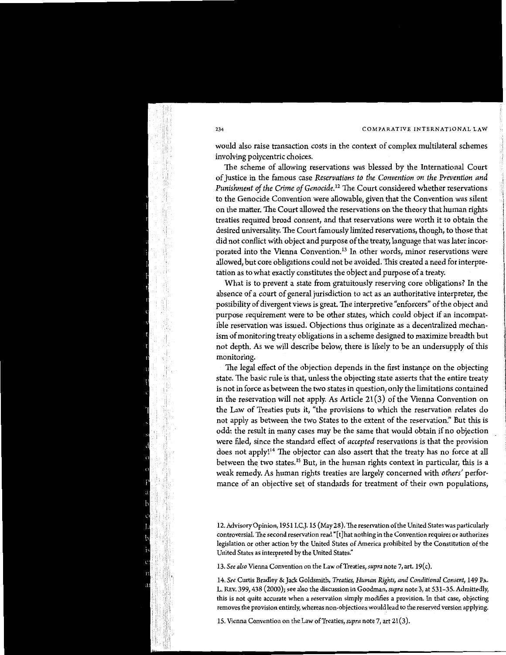would also raise transaction costs in the context of complex multilateral schemes involving polycentric choices.

The scheme of allowing reservations was blessed by the International Court of Justice in the famous case *Reservations to the Convention on the Prevention and Punishment of the Crime of Genocide.12* The Court considered whether reservations to the Genocide Convention were allowable, given that the Convention was silent on the matter. The Court allowed the reservations on the theory that human rights treaties required broad consent, and that reservations were worth it to obtain the desired universality. The Court famously limited reservations, though, to those that did not conflict with object and purpose of the treaty, language that was later incorporated into the Vienna Convention.<sup>13</sup> In other words, minor reservations were allowed, but core obligations could not be avoided. This created a need for interpretation as to what exactly constitutes the object and purpose of a treaty.

What is to prevent a state from gratuitously reserving core obligations? In the absence of a court of general jurisdiction to act as an authoritative interpreter, the possibility of divergent views is great. The interpretive "enforcers" of the object and purpose requirement were to be other states, which could object if an incompatible reservation was issued. Objections thus originate as a decentralized mechanism of monitoring treaty obligations in a scheme designed to maximize breadth but not depth. As we will describe below, there is likely to be an undersupply of this monitoring.

The legal effect of the objection depends in the first instance on the objecting state. The basic rule is that, unless the objecting state asserts that the entire treaty is not in force as between the two states in question, only the limitations contained in the reservation will not apply. As Article  $21(3)$  of the Vienna Convention on the Law of Treaties puts it, "the provisions to which the reservation relates do not apply as between the two States to the extent of the reservation:' But this is odd: the result in many cases may be the same that would obtain if no objection were filed, since the standard effect of *accepted* reservations is that the provision does not apply!<sup>14</sup> The objector can also assert that the treaty has no force at all between the two states.<sup>15</sup> But, in the human rights context in particular, this is a weak remedy. As human rights treaties are largely concerned with *others'* performance of an objective set of standards for treatment of their own populations,

13. *See also* Vienna Convention on the Law of Treaties, *supra* note 7, art. 19(c).

14. *See* Curtis Bradley &Jack Goldsmith, *Treaties, Human Rights, and Conditional Consent,* 149 PA. L. REv. 399, 438 (2000); see also the discussion in Goodman, *supra* note 3, at 531-35.Admittedly, this is not quite accurate when a reservation simply modifies a provision. In that case, objecting removes the provision entirely, whereas non-objections would. lead to the reserved version applying.

15. Vienna Convention on the Law of Treaties, *supra* note 7, art 21 (3 ).

<sup>12.</sup> Advisory Opinion, 1951 I.CJ. 15 (May 28 ). The reservation of the United States was particularly controversial. The second reservation read "[t]hat nothing in the Convention requires or authorizes legislation or other action by the United States of America prohibited by the Constitution of the United States as interpreted by the United States."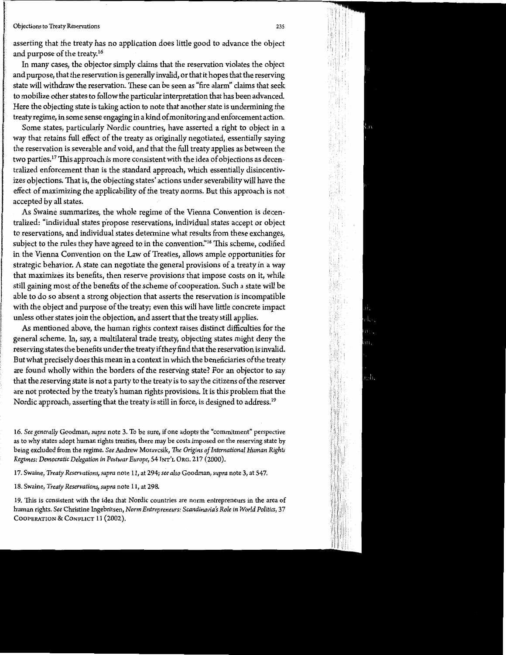#### Objections to Treaty Reservations 235

asserting that the treaty has no application does little good to advance the object and purpose of the treaty.16

In many cases, the objector simply claims that the reservation violates the object and purpose, that the reservation is generally invalid, or that it hopes that the reserving state will withdraw the reservation. These can be seen as "fire alarm" claims that seek to mobilize other states to follow the particular interpretation that has been advanced. Here the objecting state is taking action to note that another state is undermining the treaty regime, in some sense engaging in a kind of monitoring and enforcement action.

Some states, particularly Nordic countries, have asserted a right to object in a way that retains full effect of the treaty as originally negotiated, essentially saying the reservation is severable and void, and that the full treaty applies as between the two parties. 17 This approach is more consistent with the idea of objections as decentralized enforcement than is the standard approach, which essentially disincentivizes objections. That is, the objecting states' actions under severability will have the effect of maximizing the applicability of the treaty norms. But this approach is not accepted by all states.

As Swaine summarizes, the whole regime of the Vienna Convention is decentralized: "individual states propose reservations, individual states accept or object to reservations, and individual states determine what results from these exchanges, subject to the rules they have agreed to in the convention."<sup>18</sup> This scheme, codified in the Vienna Convention on the Law of Treaties, allows ample opportunities for strategic behavior. A state can negotiate the general provisions of a treaty in a way that maximizes its benefits, then reserve provisions that impose costs on it, while still gaining most of the benefits of the scheme of cooperation. Such a state will be able to do so absent a strong objection that asserts the reservation is incompatible with the object and purpose of the treaty; even this will have little concrete impact unless other states join the objection, and assert that the treaty still applies.

As mentioned above, the human rights context raises distinct difficulties for the general scheme. In, say; a multilateral trade treaty, objecting states might deny the reserving states the benefits under the treaty if they find that the reservation is invalid. But what precisely does this mean in a context in which the beneficiaries of the treaty are found wholly within the borders of the reserving state? For an objector to say that the reserving state is not a party to the treaty is to say the citizens of the reserver are not protected by the treaty's human rights provisions. It is this problem that the Nordic approach, asserting that the treaty is still in force, is designed to address.19

17. Swaine, *Treaty Reservations, supra* note 11, at 294; *see also* Goodman, *supra* note 3, at 547.

18. Swaine, *Treaty Reservations, supra* note 11, at 298.

19. This is consistent with the idea that Nordic countries are norm entrepreneurs in the area of human rights. *See* Christine Ingebritsen, *Norm Entrepreneurs: Scandinavia'.s Role in World Politics,* 37 COOPERATION & CONFLICT 11 (2002).

<sup>16.</sup> *See generally* Goodman, *supra* note 3. To be sure, if one adopts the "commitment" perspective as to why states adopt human rights treaties, there may be costs imposed on the reserving state by being excluded from the regime. *See* Andrew Moravcsik, The *Origins of International Human Rights Regimes: Democratic Delegation in Postwar Europe,* 54 INT'L 0RG. 217 ( 2000).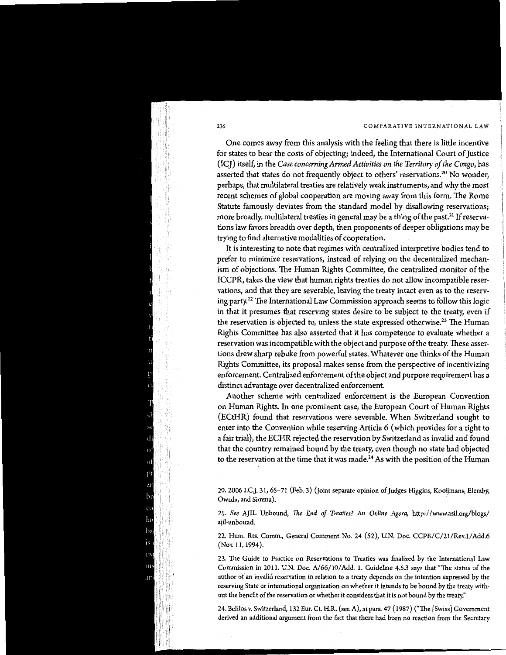One comes away from this analysis with the feeling that there is little incentive for states to bear the costs of objecting; indeed, the International Court of Justice (IC]) itself, in the *Case concerning Armed Activities on the Territory of the Congo,* has asserted that states do not frequently object to others' reservations.<sup>20</sup> No wonder, perhaps, that multilateral treaties are relatively weak instruments, and why the most recent schemes of global cooperation are moving away from this form. The Rome Statute famously deviates from the standard model by disallowing reservations; more broadly, multilateral treaties in general may be a thing of the past.<sup>21</sup> If reservations law favors breadth over depth, then proponents of deeper obligations may be trying to find alternative modalities of cooperation.

It is interesting to note that regimes with centralized interpretive bodies tend to prefer to minimize reservations, instead of relying on the decentralized mechanism of objections. The Human Rights Committee, the centralized monitor of the ICCPR, takes the view that human rights treaties do not allow incompatible reservations, and that they are severable, leaving the treaty intact even as to the reserving party.22 The International Law Commission approach seems to follow this logic in that it presumes that reserving states desire to be subject to the treaty, even if the reservation is objected to, unless the state expressed otherwise.<sup>23</sup> The Human Rights Committee has also asserted that it has competence to evaluate whether a reservation was incompatible with the object and purpose of the treaty. These assertions drew sharp rebuke from powerful states. Whatever one thinks of the Human Rights Committee, its proposal makes sense from the perspective of incentivizing enforcement. Centralized enforcement of the object and purpose requirement has a distinct advantage over decentralized enforcement.

Another scheme with centralized enforcement is the European Convention on Human Rights. In one prominent case, the European Court of Human Rights (ECtHR) found that reservations were severable. When Switzerland sought to enter into the Convention while reserving Article 6 (which provides for a right to a fair trial), the ECHR rejected the reservation by Switzerland as invalid and found that the country remained bound by the treaty, even though no state had objected to the reservation at the time that it was made.<sup>24</sup> As with the position of the Human

20. 2006 I.CJ. 31, 65-71 (Feb. 3) (joint separate opinion of Judges Higgins, Kooijmans, Eleraby, Owada, and Simma).

21. *See A]IL* Unbound, The *End of Treaties? An Online Agora,* http:/ /www.asil.org/blogs/ ajil-unbound.

22. Hum. Rts. Comm., General Comment No. 24 (52), U.N. Doc. CCPR/C/21/Rev.l/Add.6 (Nov. 11, 1994).

23. The Guide to Practice on Reservations to Treaties was finalized by the International Law Commission in 2011. U.N. Doc. A/66/10/Add. 1. Guideline 4.5.3 says that "The status of the author of an invalid reservation in relation to a treaty depends on the intention expressed by the reserving State or international organization on whether it intends to be bound by the treaty without the benefit of the reservation or whether it considers that it is not bound by the treaty."

24. Belilos v. Switzerland, 132Eur. Ct. H.R. (ser. A), at para. 47 (1987) ("The [Swiss] Government derived an additional argument from the fact that there had been no reaction from the Secretary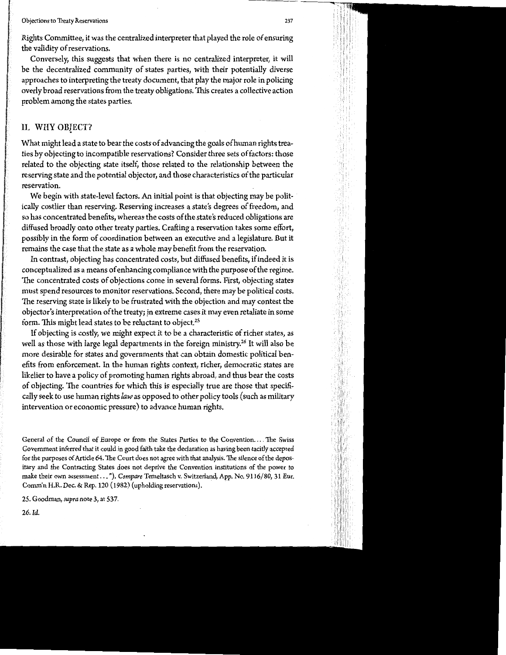Rights Committee, it was the centralized interpreter that played the role of ensuring the validity of reservations.

Conversely, this suggests that when there is no centralized interpreter, it will be the decentralized community of states parties, with their potentially diverse approaches to interpreting the treaty document, that play the major role in policing overly broad reservations from the treaty obligations. This creates a collective action problem among the states parties.

## II. WHY OBJECT?

What might lead a state to bear the costs of advancing the goals of human rights treaties by objecting to incompatible reservations? Consider three sets of factors: those related to the objecting state itself, those related to the relationship between the reserving state and the potential objector, and those characteristics of the particular reservation.

We begin with state-level factors. An initial point is that objecting may be politically costlier than reserving. Reserving increases a state's degrees of freedom, and so has concentrated benefits, whereas the costs of the state's reduced obligations are diffused broadly onto other treaty parties. Crafting a reservation takes some effort, possibly in the form of coordination between an executive and a legislature. But it remains the case that the state as a whole may benefit from the reservation.

In contrast, objecting has concentrated costs, but diffused benefits, if indeed it is conceptualized as a means of enhancing compliance with the purpose of the regime. The concentrated costs of objections come in several forms. First, objecting states must spend resources to monitor reservations. Second, there may be political costs. The reserving state is likely to be frustrated with the objection and may contest the objector's interpretation of the treaty; in extreme cases it may even retaliate in some form. This might lead states to be reluctant to object.<sup>25</sup>

If objecting is costly, we might expect it to be a characteristic of richer states, as well as those with large legal departments in the foreign ministry.<sup>26</sup> It will also be more desirable for states and governments that can obtain domestic political benefits from enforcement. In the human rights context, richer, democratic states are likelier to have a policy of promoting human rights abroad, and thus bear the costs of objecting. The countries for which this is especially true are those that specifically seek to use human rights *law* as opposed to other policy tools (such as military intervention or economic pressure) to advance human rights.

General of the Council of Europe or from the States Parties to the Convention .... The Swiss Government inferred that it could in good faith take the declaration as having been tacitly accepted for the purposes of Article 64. The Court does not agree with that analysis. The silence of the depositary and the Contracting States does not deprive the Convention institutions of the power to make their own assessment ... "). *Compare* Temeltasch v. Switzerland, App. No. 9116/80, 31 Eur. Comm'n H.R. Dec. & Rep.120 (1982) (upholding reservations).

25. Goodman, *supra* note 3, at 537.

26.Id.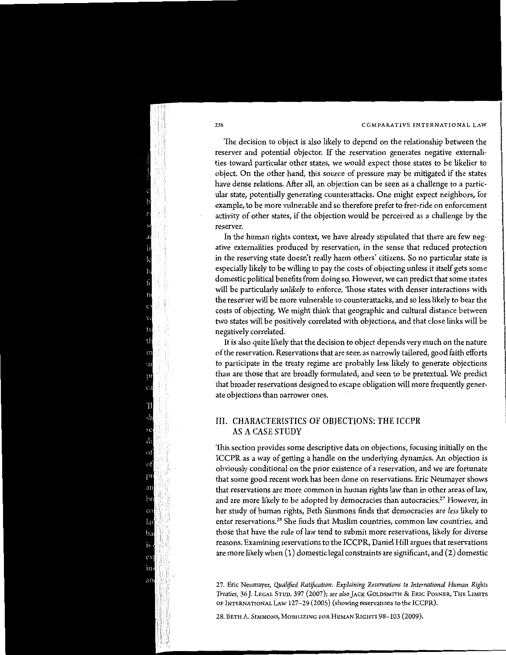The decision to object is also likely to depend on the relationship between the reserver and potential objector. If the reservation generates negative externalities toward particular other states, we would expect those states to be likelier to object. On the other hand, this source of pressure may be mitigated if the states have dense relations. After all, an objection can be seen as a challenge to a particular state, potentially generating counterattacks. One might expect neighbors, for example, to be more vulnerable and so therefore prefer to free-ride on enforcement activity of other states, if the objection would be perceived as a challenge by the reserver.

In the human rights context, we have already stipulated that there are few negative externalities produced by reservation, in the sense that reduced protection in the reserving state doesn't really harm others' citizens. So no particular state is especially likely to be willing to pay the costs of objecting unless it itself gets some domestic political benefits from doing so. However, we can predict that some states will be particularly *unlikely* to enforce. Those states with denser interactions with the reserver will be more vulnerable to counterattacks, and so less likely to bear the costs of objecting. We might think that geographic and cultural distance between two states will be positively correlated with objections, and that close links will be negatively correlated.

It is also quite likely that the decision to object depends very much on the nature of the reservation. Reservations that are seen as narrowly tailored, good faith efforts to participate in the treaty regime are probably less likely to generate objections than are those that are broadly formulated, and seen to be pretextual. We predict that broader reservations designed to escape obligation will more frequently generate objections than narrower ones.

## III. CHARACTERISTICS OF OBJECTIONS: THE ICCPR AS A CASE STUDY

This section provides some descriptive data on objections, focusing initially on the ICCPR as a way of getting a handle on the underlying dynamics. An objection is obviously conditional on the prior existence of a reservation, and we are fortunate that some good recent work has been done on reservations. Eric Neumayer shows that reservations are more common in human rights law than in other areas oflaw, and are more likely to be adopted by democracies than autocracies.<sup>27</sup> However, in her study of human rights, Beth Simmons finds that democracies are *less* likely to enter reservations.<sup>28</sup> She finds that Muslim countries, common law countries, and those that have the rule of law tend to submit more reservations, likely for diverse reasons. Examining reservations to the ICCPR, Daniel Hill argues that reservations are more likely when  $(1)$  domestic legal constraints are significant, and  $(2)$  domestic

<sup>27.</sup> Eric Neumayer, *Qualified Ratification: Explaining Reservations to International Human Rights Treaties, 36].* LEGAL STUD. 397 (2007); *see also ]ACK* GOLDSMITH & ERIC POSNER, THE LIMITS OF INTERNATIONAL LAW 127-29 (2005) (showing reservations to the ICCPR).

<sup>28.</sup> BETHA. SIMMONS, MOBILIZING FOR HUMAN RIGHTS 98-103 (2009).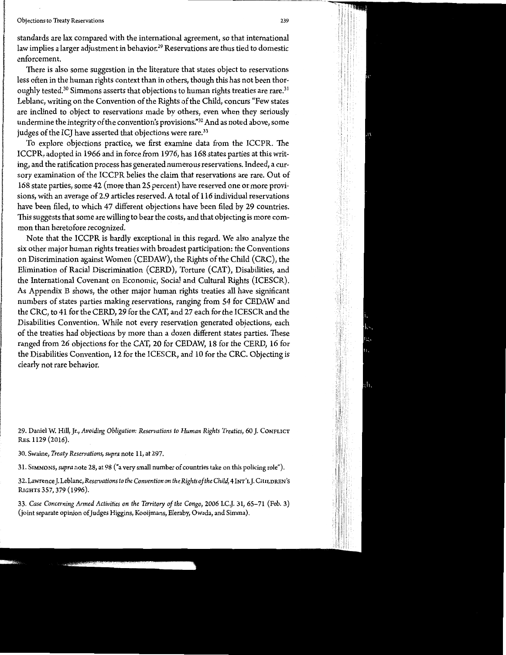#### Objections to Treaty Reservations 239

standards are lax compared with the international agreement, so that international law implies a larger adjustment in behavior.<sup>29</sup> Reservations are thus tied to domestic enforcement.

There is also some suggestion in the literature that states object to reservations less often in the human rights context than in others, though this has not been thoroughly tested.30 Simmons asserts that objections to human rights treaties are rare.31 Leblanc, writing on the Convention of the Rights of the Child, concurs "Few states are inclined to object to reservations made by others, even when they seriously undermine the integrity of the convention's provisions:'32 And as noted above, some judges of the ICJ have asserted that objections were rare.<sup>33</sup>

To explore objections practice, we first examine data from the ICCPR. The ICCPR, adopted in 1966 and in force from 1976, has 168 states parties at this writing, and the ratification process has generated numerous reservations. Indeed, a cursory examination of the ICCPR belies the claim that reservations are rare. Out of 168 state parties, some 42 (more than 25 percent) have reserved one or more provisions, with an average of 2.9 articles reserved. A total of 116 individual reservations have been filed, to which 47 different objections have been filed by 29 countries. This suggests that some are willing to bear the costs, and that objecting is more common than heretofore recognized.

Note that the ICCPR is hardly exceptional in this regard. We also analyze the six other major human rights treaties with broadest participation: the Conventions on Discrimination against Women (CEDAW), the Rights of the Child (CRC), the Elimination of Racial Discrimination ( *CERD),* Torture *(CAT),* Disabilities, and the International Covenant on Economic, Social and Cultural Rights (ICESCR). As Appendix B shows, the other major human rights treaties all have significant numbers of states parties making reservations, ranging from 54 for CEDAW and the CRC, to 41 for the CERD, 29 for the CAT, and 27 each for the ICESCR and the Disabilities Convention. While not every reservation generated objections, each of the treaties had objections by more than a dozen different states parties. These ranged from 26 objections for the CAT, 20 for CEDAW, 18 for the CERD, 16 for the Disabilities Convention, 12 for the ICESCR, and 10 for the CRC. Objecting is clearly not rare behavior.

29. Daniel W. Hill, Jr., *Avoiding Obligation: Reservations to Human Rights Treaties,* 60 *].* CONFLICT REs. 1129 (2016).

30. Swaine, *Treaty Reservations, supra* note 11, at 297.

31. SIMMONS, *supra* note 28, at 98 ("a very small number of countries take on this policing role").

32. Lawrence J. Leblanc, *Reservations to the Convention on the Rights of the Child*,  $4$  INT'L J. CHILDREN'S RIGHTS 357, 379 (1996).

33. *Case Concerning Armed Activities on the Territory of the Congo,* 2006 I.CJ. 31, 65-71 (Feb. 3) (joint separate opinion of Judges Higgins, Kooijmans, Eleraby, Owada, and Simma).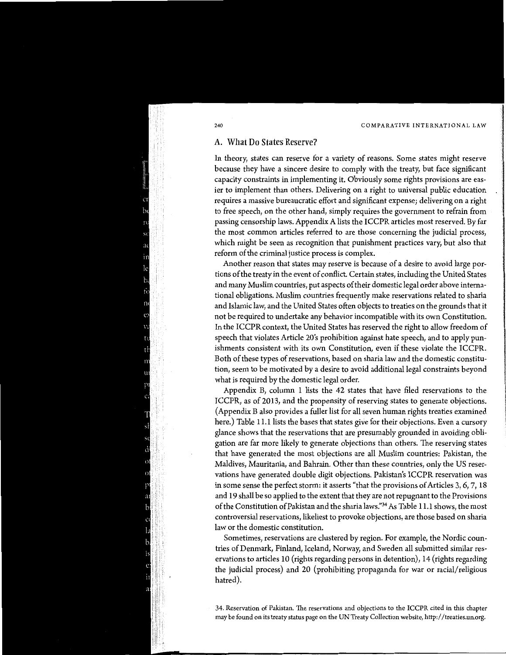## A. What Do States Reserve?

In theory, states can reserve for a variety of reasons. Some states might reserve because they have a sincere desire to comply with the treaty, but face significant capacity constraints in implementing it. Obviously some rights provisions are easier to implement than others. Delivering on a right to universal public education requires a massive bureaucratic effort and significant expense; delivering on a right to free speech, on the other hand, simply requires the government to refrain from passing censorship laws. Appendix A lists the IC CPR articles most reserved. By far the most common articles referred to are those concerning the judicial process, which might be seen as recognition that punishment practices vary, but also that reform of the criminal justice process is complex.

Another reason that states may reserve is because of a desire to avoid large portions of the treaty in the event of conflict. Certain states, including the United States and many Muslim countries, put aspects of their domestic legal order above international obligations. Muslim countries frequently make reservations related to sharia and Islamic law, and the United States often objects to treaties on the grounds that it not be required to undertake any behavior incompatible with its own Constitution. In the ICCPR context, the United States has reserved the right to allow freedom of speech that violates Article 20's prohibition against hate speech, and to apply punishments consistent with its own Constitution, even if these violate the ICCPR. Both of these types of reservations, based on sharia law and the domestic constitution, seem to be motivated by a desire to avoid additional legal constraints beyond what is required by the domestic legal order.

Appendix B, column 1 lists the 42 states that have filed reservations to the ICCPR, as of 2013, and the propensity of reserving states to generate objections. (Appendix B also provides a fuller list for all seven human rights treaties examined here.) Table 11.1 lists the bases that states give for their objections. Even a cursory glance shows that the reservations that are presumably grounded in avoiding obligation are far more likely to generate objections than others. The reserving states that have generated the most objections are all Muslim countries: Pakistan, the Maldives, Mauritania, and Bahrain. Other than these countries, only the US reservations have generated double digit objections. Pakistan's ICCPR reservation was in some sense the perfect storm: it asserts "that the provisions of Articles  $3, 6, 7, 18$ and 19 shall be so applied to the extent that they are not repugnant to the Provisions of the Constitution of Pakistan and the sharia laws."<sup>34</sup> As Table 11.1 shows, the most controversial reservations, likeliest to provoke objections, are those based on sharia law or the domestic constitution.

Sometimes, reservations are clustered by region. For example, the Nordic countries of Denmark, Finland, Iceland, Norway, and Sweden all submitted similar reservations to articles 10 (rights regarding persons in detention), 14 (rights regarding the judicial process) and 20 (prohibiting propaganda for war or racial/religious hatred).

34. Reservation of Pakistan. The reservations and objections to the IC CPR cited in this chapter may be found on its treaty status page on the UN Treaty Collection website, http:/ /treaties.un.org.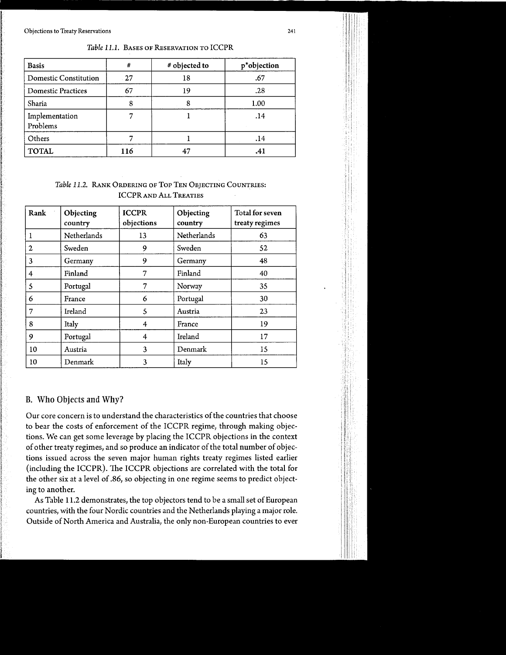| <b>Basis</b>                 | #   | # objected to | p*objection |
|------------------------------|-----|---------------|-------------|
| <b>Domestic Constitution</b> | 27  | 18            | .67         |
| <b>Domestic Practices</b>    | 67  | 19            | .28         |
| Sharia                       | 8   | 8             | 1.00        |
| Implementation<br>Problems   |     |               | .14         |
| Others                       |     |               | .14         |
| <b>TOTAL</b>                 | 116 | 47            | .4.         |

*Table 11.1.* BASES OF RESERVATION TO ICCPR

## *Table 11.2.* RANK ORDERING OF ToP TEN OBJECTING COUNTRIES: ICCPRAND ALL TREATIES

| Rank | Objecting<br>country | <b>ICCPR</b><br>objections | Objecting<br>country | Total for seven<br>treaty regimes |
|------|----------------------|----------------------------|----------------------|-----------------------------------|
| 1    | Netherlands          | 13                         | Netherlands          | 63                                |
| 2    | Sweden               | 9                          | Sweden               | 52                                |
| 3    | Germany              | 9                          | Germany              | 48                                |
| 4    | Finland              | 7                          | Finland              | 40                                |
| 5    | Portugal             | 7                          | Norway               | 35                                |
| 6    | France               | 6                          | Portugal             | 30                                |
| 7    | Ireland              | 5                          | Austria              | 23                                |
| 8    | Italy                | 4                          | France               | 19                                |
| 9    | Portugal             | 4                          | Ireland              | 17                                |
| 10   | Austria              | 3                          | Denmark              | 15                                |
| 10   | Denmark              | 3                          | Italy                | 15                                |

## B. Who Objects and Why?

Our core concern is to understand the characteristics of the countries that choose to bear the costs of enforcement of the ICCPR regime, through making objections. We can get some leverage by placing the ICCPR objections in the context of other treaty regimes, and so produce an indicator of the total number of objections issued across the seven major human rights treaty regimes listed earlier (including the ICCPR). The ICCPR objections are correlated with the total for the other six at a level of .86, so objecting in one regime seems to predict objecting to another.

As Table 11.2 demonstrates, the top objectors tend to be a small set of European countries, with the four Nordic countries and the Netherlands playing a major role. Outside of North America and Australia, the only non-European countries to ever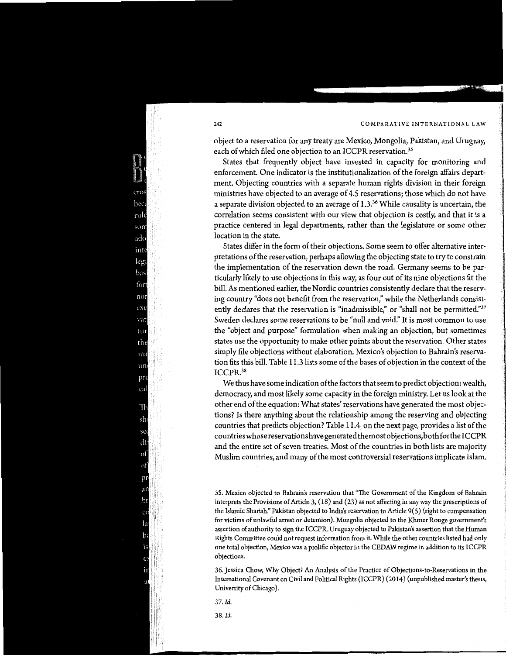object to a reservation for any treaty are Mexico, Mongolia, Pakistan, and Uruguay, each of which filed one objection to an ICCPR reservation.<sup>35</sup>

States that frequently object have invested in capacity for monitoring and enforcement. One indicator is the institutionalization of the foreign affairs department. Objecting countries with a separate human rights division in their foreign ministries have objected to an average of 4.5 reservations; those which do not have a separate division objected to an average of 1.3.<sup>36</sup> While causality is uncertain, the correlation seems consistent with our view that objection is costly, and that it is a practice centered in legal departments, rather than the legislature or some other location in the state.

States differ in the form of their objections. Some seem to offer alternative interpretations of the reservation, perhaps allowing the objecting state to try to constrain the implementation of the reservation down the road. Germany seems to be particularly likely to use objections in this way, as four out of its nine objections fit the bill. As mentioned earlier, the Nordic countries consistently declare that the reserving country "does not benefit from the reservation;' while the Netherlands consistently declares that the reservation is "inadmissible," or "shall not be permitted."<sup>37</sup> Sweden declares some reservations to be "null and void:' It is most common to use the "object and purpose" formulation when making an objection, but sometimes states use the opportunity to make other points about the reservation. Other states simply file objections without elaboration. Mexico's objection to Bahrain's reservation fits this bill. Table 11.3 lists some of the bases of objection in the context of the ICCPR.<sup>38</sup>

We thus have some indication of the factors that seem to predict objection: wealth, democracy, and most likely some capacity in the foreign ministry. Let us look at the other end of the equation: What states' reservations have generated the most objections? Is there anything about the relationship among the reserving and objecting countries that predicts objection? Table 11.4, on the next page, provides a list of the countries whose reservations have generated the most objections, bothforthe I CCPR and the entire set of seven treaties. Most of the countries in both lists are majority Muslim countries, and many of the most controversial reservations implicate Islam.

35. Mexico objected to Bahrain's reservation that "The Government of the Kingdom of Bahrain interprets the Provisions of Article 3, (18) and (23) as not affecting in anyway the prescriptions of the Islamic Shariah:' Pakistan objected to India's reservation to Article 9(5) (right to compensation for victims of unlawful arrest or detention). Mongolia objected to the Khmer Rouge government's assertion of authority to sign the ICCPR. Uruguay objected to Pakistan's assertion that the Human Rights Committee could not request information from it. While the other countries listed had only one total objection, Mexico was a prolific objector in the CEDAW regime in addition to its ICCPR objections.

36. Jessica Chow, Why Object? An Analysis of the Practice of Objections-to-Reservations in the International Covenant on Civil and Political Rights (ICCPR) ( 2014) (unpublished master's thesis, University of Chicago).

*37.Id.* 

*38.Id.*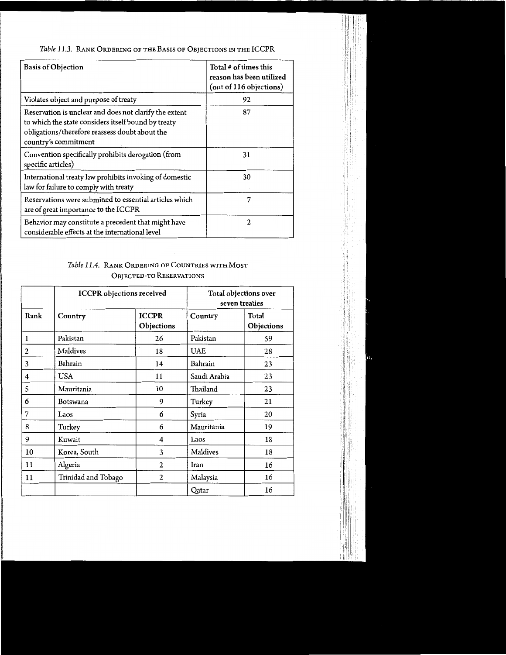|  |  |  | Table 11.3. RANK ORDERING OF THE BASIS OF OBJECTIONS IN THE ICCPR |
|--|--|--|-------------------------------------------------------------------|
|--|--|--|-------------------------------------------------------------------|

| <b>Basis of Objection</b>                                                                                                                                                               | Total # of times this<br>reason has been utilized<br>(out of 116 objections) |
|-----------------------------------------------------------------------------------------------------------------------------------------------------------------------------------------|------------------------------------------------------------------------------|
| Violates object and purpose of treaty                                                                                                                                                   | 92                                                                           |
| Reservation is unclear and does not clarify the extent<br>to which the state considers itself bound by treaty<br>obligations/therefore reassess doubt about the<br>country's commitment | 87                                                                           |
| Convention specifically prohibits derogation (from<br>specific articles)                                                                                                                | 31                                                                           |
| International treaty law prohibits invoking of domestic<br>law for failure to comply with treaty                                                                                        | 30                                                                           |
| Reservations were submitted to essential articles which<br>are of great importance to the ICCPR                                                                                         | 7                                                                            |
| Behavior may constitute a precedent that might have<br>considerable effects at the international level                                                                                  | $\overline{2}$                                                               |

## *Table 11.4.* RANK ORDERING OF COUNTRIES WITH MOST OBJECTED-TO RESERVATIONS

|      | <b>ICCPR</b> objections received |                            |              | Total objections over<br>seven treaties |
|------|----------------------------------|----------------------------|--------------|-----------------------------------------|
| Rank | Country                          | <b>ICCPR</b><br>Objections | Country      | Total<br>Objections                     |
| 1    | Pakistan                         | 26                         | Pakistan     | 59                                      |
| 2    | Maldives                         | 18                         | <b>UAE</b>   | 28                                      |
| 3    | Bahrain                          | 14                         | Bahrain      | 23                                      |
| 4    | <b>USA</b>                       | 11                         | Saudi Arabia | 23                                      |
| 5    | Mauritania                       | 10                         | Thailand     | 23                                      |
| 6    | Botswana                         | 9                          | Turkey       | 21                                      |
| 7    | Laos                             | 6                          | Syria        | 20                                      |
| 8    | Turkey                           | 6                          | Mauritania   | 19                                      |
| 9    | Kuwait                           | 4                          | Laos         | 18                                      |
| 10   | Korea, South                     | 3                          | Maldives     | 18                                      |
| 11   | Algeria                          | $\overline{2}$             | Iran         | 16                                      |
| 11   | Trinidad and Tobago              | 2                          | Malaysia     | 16                                      |
|      |                                  |                            | Qatar        | 16                                      |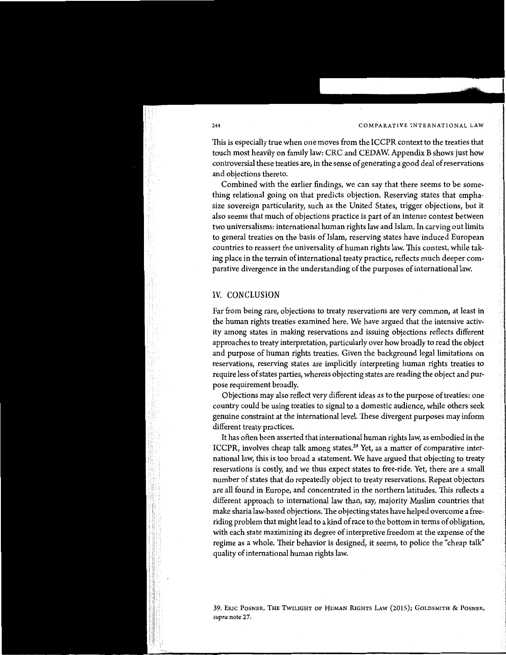This is especially true when one moves from the IC CPR context to the treaties that touch most heavily on family law: CRC and CEDAW. Appendix B shows just how controversial these treaties are, in the sense of generating a good deal of reservations and objections thereto.

Combined with the earlier findings, we can say that there seems to be something relational going on that predicts objection. Reserving states that emphasize sovereign particularity, such as the United States, trigger objections, but it also seems that much of objections practice is part of an intense contest between two universalisms: international human rights law and Islam. In carving out limits to general treaties on the basis of Islam, reserving states have induced European countries to reassert the universality of human rights law. This contest, while taking place in the terrain of international treaty practice, reflects much deeper comparative divergence in the understanding of the purposes of international law.

## IV. CONCLUSION

Far from being rare, objections to treaty reservations are very common, at least in the human rights treaties examined here. We have argued that the intensive activity among states in making reservations and issuing objections reflects different approaches to treaty interpretation, particularly over how broadly to read the object and purpose of human rights treaties. Given the background legal limitations on reservations, reserving states are implicitly interpreting human rights treaties to require less of states parties, whereas objecting states are reading the object and purpose requirement broadly.

Objections may also reflect very different ideas as to the purpose of treaties: one country could be using treaties to signal to a domestic audience, while others seek genuine constraint at the international level. These divergent purposes may inform different treaty practices.

It has often been asserted that international human rights law, as embodied in the ICCPR, involves cheap talk among states.<sup>39</sup> Yet, as a matter of comparative international law, this is too broad a statement. We have argued that objecting to treaty reservations is costly, and we thus expect states to free-ride. Yet, there are a small number of states that do repeatedly object to treaty reservations. Repeat objectors are all found in Europe, and concentrated in the northern latitudes. This reflects a different approach to international law than, say, majority Muslim countries that make sharia law-based objections. The objecting states have helped overcome a freeriding problem that might lead to a kind of race to the bottom in terms of obligation, with each state maximizing its degree of interpretive freedom at the expense of the regime as a whole. Their behavior is designed, it seems, to police the "cheap talk" quality of international human rights law.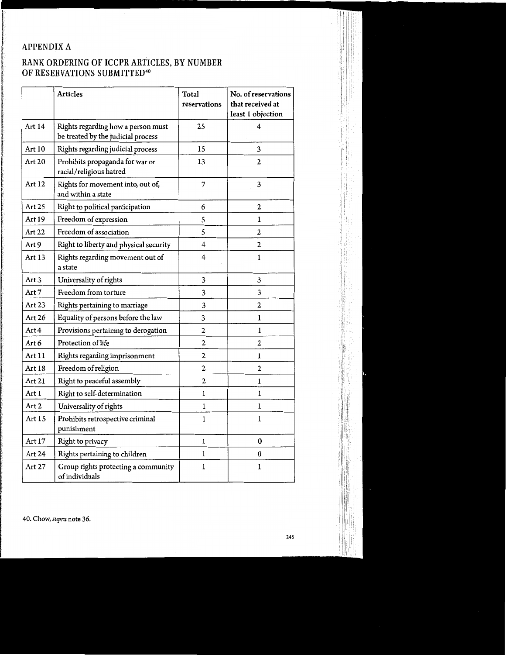## APPENDIX A

## RANK ORDERING OF ICCPR ARTICLES, BY NUMBER OF RESERVATIONS SUBMITTED<sup>40</sup>

|               | <b>Articles</b>                                                          | <b>Total</b><br>reservations | No. of reservations<br>that received at<br>least 1 objection |
|---------------|--------------------------------------------------------------------------|------------------------------|--------------------------------------------------------------|
| Art 14        | Rights regarding how a person must<br>be treated by the judicial process | 25                           | 4                                                            |
| Art 10        | Rights regarding judicial process                                        | 15                           | 3                                                            |
| <b>Art 20</b> | Prohibits propaganda for war or<br>racial/religious hatred               | 13                           | $\overline{2}$                                               |
| Art 12        | Rights for movement into, out of,<br>and within a state                  | 7                            | 3                                                            |
| Art 25        | Right to political participation                                         | 6                            | $\mathbf{2}$                                                 |
| Art 19        | Freedom of expression                                                    | 5                            | $\mathbf 1$                                                  |
| Art 22        | Freedom of association                                                   | 5                            | 2                                                            |
| Art 9         | Right to liberty and physical security                                   | 4                            | 2                                                            |
| Art 13        | Rights regarding movement out of<br>a state                              | 4                            | 1                                                            |
| Art 3         | Universality of rights                                                   | 3                            | 3                                                            |
| Art 7         | Freedom from torture                                                     | 3                            | 3                                                            |
| Art 23        | Rights pertaining to marriage                                            | 3                            | 2                                                            |
| Art 26        | Equality of persons before the law                                       | 3                            | $\mathbf 1$                                                  |
| Art 4         | Provisions pertaining to derogation                                      | $\overline{2}$               | 1                                                            |
| Art 6         | Protection of life                                                       | $\mathbf{2}$                 | $\mathbf{2}$                                                 |
| Art 11        | Rights regarding imprisonment                                            | $\overline{2}$               | 1                                                            |
| Art 18        | Freedom of religion                                                      | $\mathbf{2}$                 | $\mathbf 2$                                                  |
| Art 21        | Right to peaceful assembly                                               | $\overline{2}$               | ı                                                            |
| Art 1         | Right to self-determination                                              | 1                            | 1                                                            |
| Art 2         | Universality of rights                                                   | $\mathbf 1$                  | 1                                                            |
| Art 15        | Prohibits retrospective criminal<br>punishment                           | 1                            | 1                                                            |
| Art 17        | Right to privacy                                                         | $\mathbf 1$                  | 0                                                            |
| Art 24        | Rights pertaining to children                                            | $\mathbf{1}$                 | 0                                                            |
| Art 27        | Group rights protecting a community<br>of individuals                    | 1                            | 1                                                            |

40. Chow, *supra* note 36.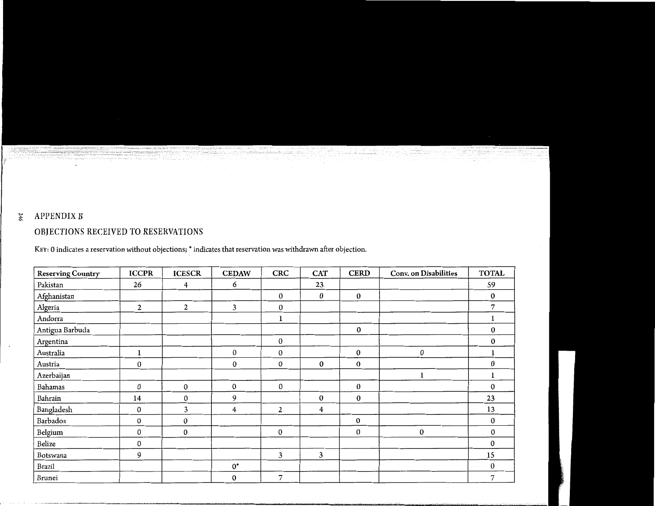#### APPENDIX B 246

## OBJECTIONS RECEIVED TO RESERVATIONS

KEY: 0 indicates a reservation without objections; \* indicates that reservation was withdrawn after objection.

| <b>Reserving Country</b> | <b>ICCPR</b> | <b>ICESCR</b> | <b>CEDAW</b> | <b>CRC</b>     | <b>CAT</b> | <b>CERD</b> | Conv. on Disabilities | <b>TOTAL</b> |
|--------------------------|--------------|---------------|--------------|----------------|------------|-------------|-----------------------|--------------|
| Pakistan                 | 26           | 4             | 6            |                | 23         |             |                       | 59           |
| Afghanistan              |              |               |              | $\bf{0}$       | $\bf{0}$   | $\bf{0}$    |                       | $\bf{0}$     |
| Algeria                  | 2            | 2             | 3            | $\bf{0}$       |            |             |                       | 7            |
| Andorra                  |              |               |              | ı              |            |             |                       |              |
| Antigua Barbuda          |              |               |              |                |            | $\bf{0}$    |                       | 0            |
| Argentina                |              |               |              | $\bf{0}$       |            |             |                       | 0            |
| Australia                | 1            |               | 0            | $\bf{0}$       |            | $\mathbf 0$ | 0                     |              |
| Austria                  | $\bf{0}$     |               | $\bf{0}$     | $\bf{0}$       | $\bf{0}$   | $\bf{0}$    |                       | 0            |
| Azerbaijan               |              |               |              |                |            |             |                       |              |
| Bahamas                  | $\bf{0}$     | $\bf{0}$      | 0            | $\bf{0}$       |            | $\bf{0}$    |                       | 0            |
| Bahrain                  | 14           | 0             | 9            |                | $\bf{0}$   | 0           |                       | 23           |
| Bangladesh               | 0            | 3             | 4            | 2              | 4          |             |                       | 13           |
| Barbados                 | $\bf{0}$     | 0             |              |                |            | 0           |                       | 0            |
| Belgium                  | 0            | 0             |              | $\bf{0}$       |            | $\bf{0}$    | 0                     | 0            |
| Belize                   | 0            |               |              |                |            |             |                       | 0            |
| Botswana                 | 9            |               |              | 3              | 3          |             |                       | 15           |
| Brazil                   |              |               | $0^*$        |                |            |             |                       | $\bf{0}$     |
| Brunei                   |              |               | 0            | $\overline{7}$ |            |             |                       | 7            |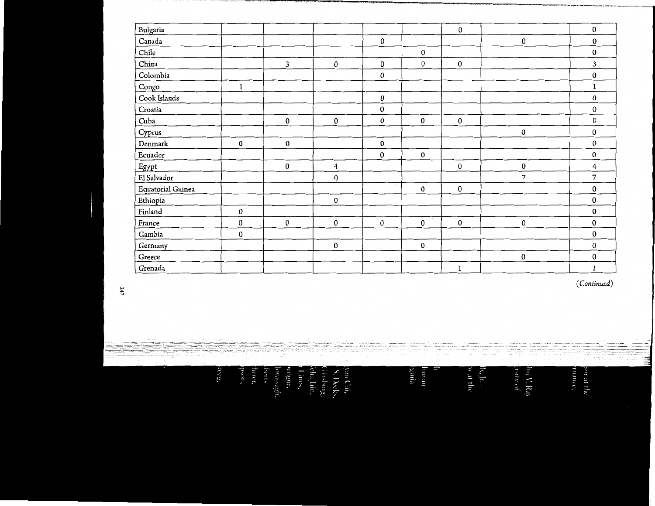| Bulgaria                 |           |             |             |                  |                             | $\boldsymbol{0}$ |           | 0                       |
|--------------------------|-----------|-------------|-------------|------------------|-----------------------------|------------------|-----------|-------------------------|
| Canada                   |           |             |             | $\bf{0}$         |                             |                  | 0         | 0                       |
| Chile                    |           |             | $\sim$      |                  | $\bf{0}$                    |                  |           | $\pmb{0}$               |
| China                    |           | 3           | $\mathbf 0$ | $\boldsymbol{0}$ | $\pmb{0}$                   | $\pmb{0}$        |           | 3                       |
| Colombia                 |           |             |             | $\pmb{0}$        |                             |                  |           | 0                       |
| Congo                    | 1         |             |             |                  |                             |                  |           |                         |
| Cook Islands             |           |             |             | $\pmb{0}$        |                             |                  |           | $\pmb{0}$               |
| Croatia                  |           |             |             | $\pmb{0}$        |                             |                  |           | $\pmb{0}$               |
| Cuba                     |           | $\mathbf 0$ | 0           | $\bf{0}$         | $\bf{0}$                    | $\bf{0}$         |           | 0                       |
| Cyprus                   |           |             |             |                  |                             |                  | $\pmb{0}$ | $\pmb{0}$               |
| Denmark                  | $\pmb{0}$ | $\pmb{0}$   |             | $\pmb{0}$        |                             |                  |           | $\bf{0}$                |
| Ecuador                  |           | $\sim$      |             | $\bf{0}$         | $\bf{0}$                    |                  |           | 0                       |
| Egypt                    |           | $\pmb{0}$   | 4           |                  |                             | $\pmb{0}$        | $\pmb{0}$ | $\overline{\mathbf{4}}$ |
| El Salvador              |           |             | 0           |                  |                             |                  | 7         | 7                       |
| <b>Equatorial Guinea</b> |           |             |             |                  | $\pmb{0}$                   | $\pmb{0}$        |           | 0                       |
| Ethiopia                 |           |             | $\pmb{0}$   |                  |                             |                  |           | 0                       |
| Finland                  | $\pmb{0}$ |             |             |                  |                             |                  |           | $\bf{0}$                |
| France                   | $\pmb{0}$ | $\pmb{0}$   | 0           | $\bf{0}$         | $\blacksquare$<br>$\pmb{0}$ | $\pmb{0}$        | $\pmb{0}$ | $\pmb{0}$               |
| Gambia                   | $\pmb{0}$ |             |             |                  |                             |                  |           | 0                       |
| Germany                  |           |             | $\pmb{0}$   |                  | $\pmb{0}$                   |                  |           | $\pmb{0}$               |
| Greece                   |           |             |             |                  |                             |                  | 0         | $\pmb{0}$               |
| Grenada                  |           |             |             |                  |                             | 1                |           |                         |

*(Continued)*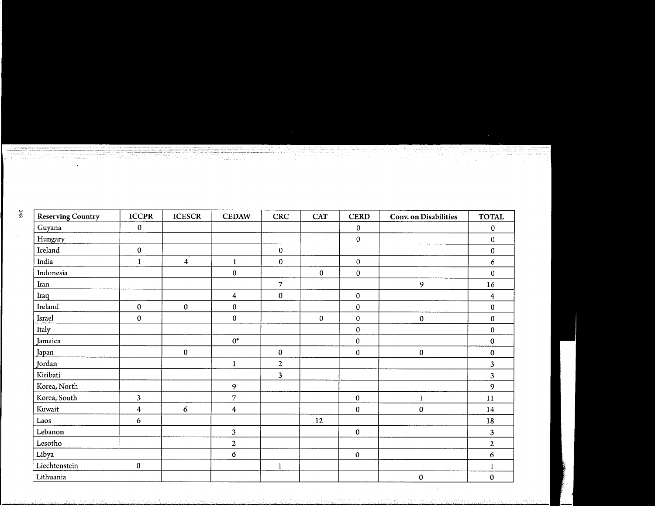| <b>Reserving Country</b> | <b>ICCPR</b> | <b>ICESCR</b>           | <b>CEDAW</b>   | <b>CRC</b>     | CAT          | <b>CERD</b>  | <b>Conv. on Disabilities</b> | <b>TOTAL</b>            |
|--------------------------|--------------|-------------------------|----------------|----------------|--------------|--------------|------------------------------|-------------------------|
| Guyana                   | $\pmb{0}$    |                         |                |                |              | $\bf{0}$     |                              | $\mathbf{0}$            |
| Hungary                  |              |                         |                |                |              | $\mathbf{0}$ |                              | $\mathbf{0}$            |
| Iceland                  | $\mathbf{0}$ |                         |                | $\bf{0}$       |              |              |                              | $\mathbf{0}$            |
| India                    | $\mathbf 1$  | $\overline{\mathbf{4}}$ | $\mathbf 1$    | $\mathbf{0}$   |              | $\bf{0}$     |                              | 6                       |
| Indonesia                |              |                         | $\bf{0}$       |                | $\mathbf{0}$ | $\mathbf{0}$ |                              | $\mathbf{0}$            |
| Iran                     |              |                         |                | $\overline{7}$ |              |              | 9                            | 16                      |
| Iraq                     |              |                         | $\overline{4}$ | $\mathbf{0}$   |              | $\mathbf 0$  |                              | $\overline{4}$          |
| Ireland                  | $\pmb{0}$    | $\mathbf{0}$            | $\bf{0}$       |                |              | $\mathbf 0$  |                              | $\bf{0}$                |
| Israel                   | 0            |                         | $\bf{0}$       |                | $\bf{0}$     | $\mathbf{0}$ | $\pmb{0}$                    | $\bf{0}$                |
| Italy                    |              |                         |                |                |              | $\mathbf{0}$ |                              | $\bf{0}$                |
| Jamaica                  |              | $\sim$                  | $0^*$          |                |              | $\bf{0}$     |                              | $\mathbf{0}$            |
| Japan                    |              | $\bf{0}$                |                | $\pmb{0}$      |              | $\pmb{0}$    | $\pmb{0}$                    | $\pmb{0}$               |
| Jordan                   |              |                         | $\mathbf{1}$   | $\mathbf 2$    |              |              |                              | 3                       |
| Kiribati                 |              |                         |                | 3              |              |              |                              | 3                       |
| Korea, North             |              |                         | 9              |                |              |              |                              | 9                       |
| Korea, South             | 3            |                         | $\overline{7}$ |                |              | $\bf{0}$     | $\mathbf{1}$                 | 11                      |
| Kuwait                   | 4            | 6                       | $\overline{4}$ |                |              | $\pmb{0}$    | $\pmb{0}$                    | 14                      |
| Laos                     | 6            |                         |                |                | 12           |              |                              | $18\,$                  |
| Lebanon                  |              |                         | $\mathbf{3}$   |                |              | $\pmb{0}$    |                              | $\overline{\mathbf{3}}$ |
| Lesotho                  |              |                         | $\overline{2}$ |                |              |              |                              | $\overline{2}$          |
| Libya                    |              |                         | 6              |                |              | $\mathbf{0}$ |                              | 6                       |
| Liechtenstein            | $\mathbf{0}$ |                         |                | $\mathbf{1}$   |              |              |                              | 1                       |
| Lithuania                |              |                         |                |                |              |              | $\pmb{0}$                    | $\pmb{0}$               |

 $\sim$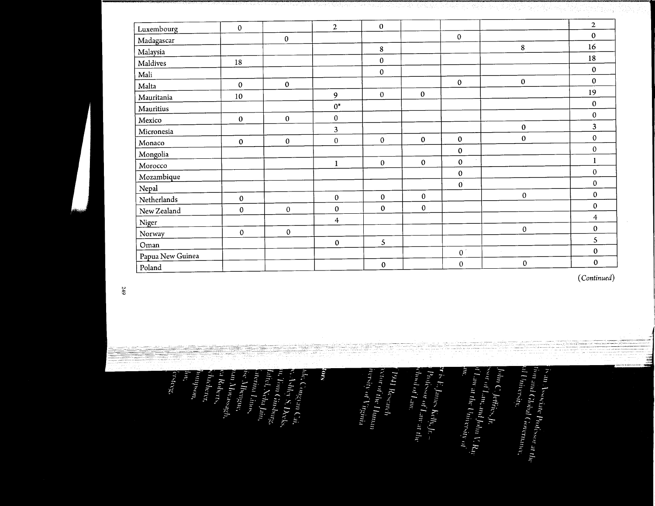| Luxembourg        | $\mathbf 0$ |              | $\mathbf{2}$   | $\pmb{0}$      |             |                           |              | $\overline{2}$ |
|-------------------|-------------|--------------|----------------|----------------|-------------|---------------------------|--------------|----------------|
| Madagascar        |             | $\mathbf{0}$ |                |                |             | $\pmb{0}$                 |              | $\mathbf{0}$   |
| Malaysia          |             |              |                | 8              |             |                           | $\bf 8$      | 16             |
| Maldives          | 18          |              |                | $\bf{0}$       |             |                           |              | $18\,$         |
| Mali              |             |              |                | $\mathbf 0$    |             |                           |              | $\mathbf 0$    |
| $\mathbf{M}$ alta | $\pmb{0}$   | $\mathbf 0$  |                |                |             | $\mathbf 0$               | $\mathbf 0$  | $\mathbf 0$    |
| Mauritania        | 10          |              | 9              | $\mathbf{0}$   | $\bf{0}$    |                           |              | 19             |
| Mauritius         |             |              | $0^*$          |                |             |                           |              | $\mathbf 0$    |
| Mexico            | $\bf{0}$    | $\bf{0}$     | $\pmb{0}$      |                |             |                           |              | $\pmb{0}$      |
| $\rm Micronesia$  |             |              | 3              |                |             |                           | $\pmb{0}$    | 3              |
| Monaco            | $\mathbf 0$ | $\bf{0}$     | $\bf{0}$       | $\bf{0}$       | $\mathbf 0$ | $\bf{0}$                  | $\pmb{0}$    | $\pmb{0}$      |
| Mongolia          |             |              |                |                |             | $\mathbf 0$               |              | $\pmb{0}$      |
| Morocco           |             |              | $\mathbf{1}$   | $\pmb{0}$      | $\pmb{0}$   | $\pmb{0}$                 |              | 1              |
| Mozambique        |             |              |                |                |             | $\pmb{0}$                 |              | $\pmb{0}$      |
| Nepal             |             |              |                |                |             | $\mathbf{0}^{\mathbf{i}}$ |              | 0              |
| Netherlands       | $\bf{0}$    |              | $\mathbf{0}$   | $\pmb{0}$      | $\bf{0}$    |                           | $\mathbf{0}$ | $\mathbf 0$    |
| New Zealand       | $\mathbf 0$ | $\mathbf 0$  | $\mathbf 0$    | 0              | $\mathbf 0$ |                           |              | $\mathbf{0}$   |
|                   |             |              | $\overline{4}$ |                |             |                           |              | 4              |
| Niger             | $\mathbf 0$ | $\mathbf{0}$ |                |                |             |                           | $\pmb{0}$    | $\mathbf 0$    |
| Norway            |             |              | $\bf{0}$       | $\mathfrak{s}$ |             |                           |              | 5              |
| Oman              |             |              |                |                |             | 0 <sup>1</sup>            |              | $\mathbf{0}$   |
| Papua New Guinea  |             |              |                | $\mathbf 0$    |             | $\pmb{0}$                 | $\bf{0}$     | $\mathbf 0$    |
| Poland            |             |              |                |                |             |                           |              |                |

*(Continued)* 

a na mata